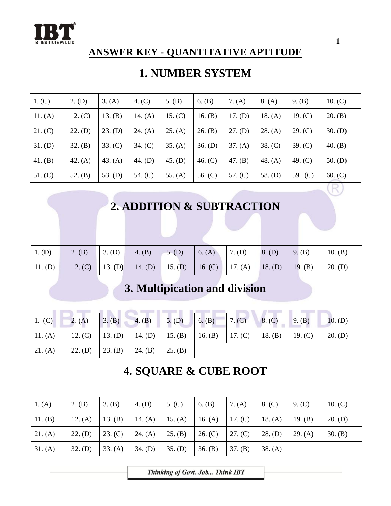

#### **ANSWER KEY - QUANTITATIVE APTITUDE**

### **1. NUMBER SYSTEM**

| 1. (C)    | $2.$ (D)  | 3. (A)    | 4. $(C)$  | 5. $(B)$  | 6. $(B)$  | 7. $(A)$  | 8. (A)    | 9. (B)    | 10. $(C)$ |
|-----------|-----------|-----------|-----------|-----------|-----------|-----------|-----------|-----------|-----------|
| 11. $(A)$ | 12. (C)   | 13. $(B)$ | 14. $(A)$ | 15. $(C)$ | 16. $(B)$ | 17. (D)   | 18. $(A)$ | 19. $(C)$ | 20. (B)   |
| 21. (C)   | 22. (D)   | 23. (D)   | 24. $(A)$ | 25. (A)   | 26. (B)   | $27.$ (D) | 28. (A)   | 29. (C)   | 30. (D)   |
| 31. (D)   | 32. (B)   | 33. (C)   | 34. (C)   | 35. (A)   | $36.$ (D) | 37. (A)   | 38. (C)   | 39. (C)   | 40. $(B)$ |
| 41. (B)   | 42. $(A)$ | 43. $(A)$ | 44. (D)   | 45. (D)   | 46. $(C)$ | 47. (B)   | 48. $(A)$ | 49. $(C)$ | 50. $(D)$ |
| 51. (C)   | 52. $(B)$ | 53. (D)   | 54. (C)   | 55. $(A)$ | 56. $(C)$ | 57. $(C)$ | 58. $(D)$ | 59. (C)   | 60. (C)   |
|           |           |           |           |           |           |           |           |           |           |

# **2. ADDITION & SUBTRACTION**

| $1.$ (D)  | 2. (B)          | $3.$ (D) | $\mid$ 4. (B)                   | $5.$ (D) | 6. (A) 7. (D) | 8. (D)  | 9. (B)  | 10. $(B)$ |
|-----------|-----------------|----------|---------------------------------|----------|---------------|---------|---------|-----------|
| $11.$ (D) | 12. (C) 13. (D) |          | 14. (D) 15. (D) 16. (C) 17. (A) |          |               | 18. (D) | 19. (B) | $20.$ (D) |

# **3. Multipication and division**

| 1. (C) 2. (A) 3. (B) 4. (B) 5. (D) 6. (B) 7. (C) 8. (C) 9. (B)                          |  |  |  |  | 10. (D) |
|-----------------------------------------------------------------------------------------|--|--|--|--|---------|
| 11. (A)   12. (C)   13. (D)   14. (D)   15. (B)   16. (B)   17. (C)   18. (B)   19. (C) |  |  |  |  | 20. (D) |
| 21. (A)   22. (D)   23. (B)   24. (B)   25. (B)                                         |  |  |  |  |         |

# **4. SQUARE & CUBE ROOT**

| 1. (A)    | 2. (B)    | $3.$ (B) | $4.$ (D)        | 5. (C)  | 6. (B)    | 7. (A)  | 8. (C)    | 9. (C)  | 10. (C)   |
|-----------|-----------|----------|-----------------|---------|-----------|---------|-----------|---------|-----------|
| 11. $(B)$ | 12. $(A)$ | 13. (B)  | 14. (A) 15. (A) |         | 16. $(A)$ | 17. (C) | 18. $(A)$ | 19. (B) | $20.$ (D) |
| 21. (A)   | $22.$ (D) | 23. (C)  | 24. (A)         | 25. (B) | 26. (C)   | 27. (C) | $28.$ (D) | 29. (A) | 30. (B)   |
| 31. (A)   | $32.$ (D) | 33. (A)  | $34.$ (D)       | 35. (D) | 36. (B)   | 37. (B) | 38. (A)   |         |           |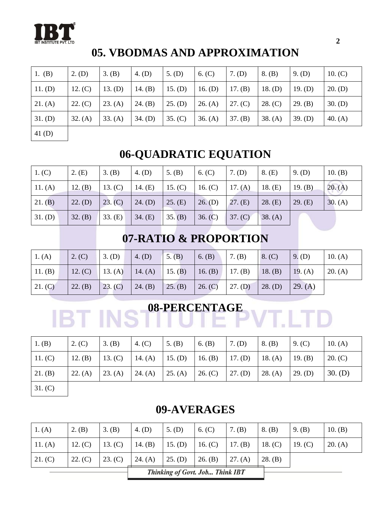

# **05. VBODMAS AND APPROXIMATION**

| 1. $(B)$  | $2.$ (D) | 3. (B)  | 4. (D)    | $5.$ (D)  | 6. (C)    | $7.$ (D)  | 8. (B)    | 9. (D)  | 10. $(C)$ |
|-----------|----------|---------|-----------|-----------|-----------|-----------|-----------|---------|-----------|
| 11. (D)   | 12. (C)  | 13. (D) | 14. $(B)$ | 15. (D)   | 16. $(D)$ | 17. $(B)$ | 18. $(D)$ | 19. (D) | 20. (D)   |
| 21. (A)   | 22. (C)  | 23. (A) | 24. (B)   | $25.$ (D) | 26. (A)   | 27. (C)   | 28. (C)   | 29. (B) | $30.$ (D) |
| $31.$ (D) | 32. (A)  | 33. (A) | $34.$ (D) | 35. (C)   | 36. (A)   | 37. (B)   | 38. (A)   | 39. (D) | 40. $(A)$ |
| 41(D)     |          |         |           |           |           |           |           |         |           |

# **06-QUADRATIC EQUATION**

| 1. (C)  | 2. (E)    | 3. (B)  | 4. (D)    | 5. $(B)$        | 6. (C)    | $7.$ (D) | 8. (E)  | $9.$ (D)  | 10. (B) |
|---------|-----------|---------|-----------|-----------------|-----------|----------|---------|-----------|---------|
| 11. (A) | 12. (B)   | 13. (C) | 14. $(E)$ | 15. (C)         | 16. $(C)$ | 17. (A)  | 18. (E) | 19. $(B)$ | 20. (A) |
| 21. (B) | $22.$ (D) | 23. (C) | $24.$ (D) | $\vert$ 25. (E) | $26.$ (D) | 27. (E)  | 28. (E) | 29. (E)   | 30. (A) |
| 31. (D) | 32. (B)   | 33. (E) | 34. (E)   | 35. (B)         | 36. (C)   | 37. (C)  | 38. (A) |           |         |

# **07-RATIO & PROPORTION**

| 1. (A)         | 2. (C)    | $3.$ (D)  | 4. (D)          | $5.$ (B) | 6. (B)          | 7. (B)    | 8. (C)    | $9.$ (D)  | 10. $(A)$ |
|----------------|-----------|-----------|-----------------|----------|-----------------|-----------|-----------|-----------|-----------|
| $\mid$ 11. (B) | 12. $(C)$ | 13. $(A)$ | 14. (A) 15. (B) |          | 16. (B) 17. (B) |           | 18. (B)   | 19. $(A)$ | 20. (A)   |
| 21. (C)        | 22. (B)   | 23. (C)   | 24. (B)         | 25. (B)  | 26. (C)         | $27.$ (D) | $28.$ (D) | 29. (A)   |           |

# BT INS<sup>08-PERCENTAGE</sup> **VT.LTD**

| 1. (B)  | 2. (C)    | 3. (B)  | 4. $(C)$        | 5. $(B)$ | 6. (B)  | $7.$ (D) | 8. (B)  | 9. $(C)$ | 10. $(A)$ |
|---------|-----------|---------|-----------------|----------|---------|----------|---------|----------|-----------|
| 11.(C)  | 12. $(B)$ | 13. (C) | 14. (A) 15. (D) |          | 16. (B) | 17. (D)  | 18. (A) | 19. (B)  | 20. (C)   |
| 21. (B) | 22. (A)   | 23. (A) | 24. (A)         | 25. (A)  | 26. (C) | 27. (D)  | 28. (A) | 29. (D)  | $30.$ (D) |
| 31. (C) |           |         |                 |          |         |          |         |          |           |

### **09-AVERAGES**

| 1. (A)  | 2. (B)    | 3. (B)    | $4.$ (D)  | $5.$ (D)  | 6. (C)                          | 7. (B)    | 8. (B)    | 9. (B)    | 10. (B) |
|---------|-----------|-----------|-----------|-----------|---------------------------------|-----------|-----------|-----------|---------|
| 11. (A) | 12. $(C)$ | 13. $(C)$ | 14. $(B)$ | 15. (D)   | 16. $(C)$                       | 17. $(B)$ | 18. $(C)$ | 19. $(C)$ | 20. (A) |
| 21. (C) | 22. (C)   | 23. (C)   | 24. (A)   | $25.$ (D) | 26. (B)                         | 27. (A)   | 28. (B)   |           |         |
|         |           |           |           |           | Thinking of Govt. Job Think IBT |           |           |           |         |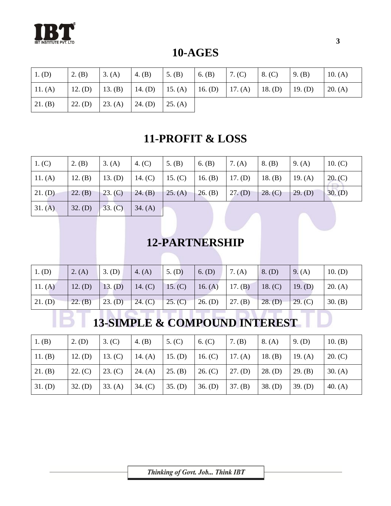

**10-AGES**

| $1.$ (D)                                                                                | $\vert 2.$ (B) | $\vert 3. (A) \vert 4. (B) \vert 5. (B)$ |  | 6. (B) 7. (C) | $\vert 8. (C) \vert$ | $\vert 9. (B) \vert$ | 10. $(A)$ |
|-----------------------------------------------------------------------------------------|----------------|------------------------------------------|--|---------------|----------------------|----------------------|-----------|
| 11. (A)   12. (D)   13. (B)   14. (D)   15. (A)   16. (D)   17. (A)   18. (D)   19. (D) |                |                                          |  |               |                      |                      | 20. (A)   |
| 21. (B)                                                                                 |                | 22. (D)   23. (A)   24. (D)   25. (A)    |  |               |                      |                      |           |

### **11-PROFIT & LOSS**

| $\mid$ 1. (C) | 2. (B)    | 3. (A)  | 4. $(C)$ | 5. $(B)$                    | $6.$ (B)                              | 7. $(A)$  | $8.$ (B) | 9. $(A)$  | 10. (C)   |
|---------------|-----------|---------|----------|-----------------------------|---------------------------------------|-----------|----------|-----------|-----------|
| 11. (A)       | 12. $(B)$ | 13. (D) |          |                             | 14. (C)   15. (C)   16. (B)   17. (D) |           | 18. (B)  | 19. $(A)$ | 20. (C)   |
| 21. (D)       | 22. (B)   | 23. (C) |          | 24. (B)   25. (A)   26. (B) |                                       | $27.$ (D) | 28. (C)  | 29. (D)   | $30.$ (D) |
| 31. (A)       | 32. (D)   | 33. (C) | 34. (A)  |                             |                                       |           |          |           |           |

### **12-PARTNERSHIP**

| $1.$ (D)  | 2. (A)  | 3. (D)    | 4. $(A)$        | $5.$ (D) | $6.$ (D)        | 7. (A)  | $8.$ (D)  | 9. (A)    | 10. (D) |
|-----------|---------|-----------|-----------------|----------|-----------------|---------|-----------|-----------|---------|
| 11. (A)   | 12. (D) | $13.$ (D) | 14. (C) 15. (C) |          | 16. (A) 17. (B) |         | 18. (C)   | $19.$ (D) | 20. (A) |
| $21.$ (D) | 22. (B) | $23.$ (D) | 24. (C)         | 25. (C)  | $26.$ (D)       | 27. (B) | $28.$ (D) | 29. (C)   | 30. (B) |

# **13-SIMPLE & COMPOUND INTEREST**

| $1.$ (B)  | $2.$ (D)  | 3. (C)    | 4. $(B)$  | 5. (C)    | 6. (C)    | 7. (B)    | 8. (A)    | $9.$ (D)  | 10. (B)   |
|-----------|-----------|-----------|-----------|-----------|-----------|-----------|-----------|-----------|-----------|
| 11. $(B)$ | 12. (D)   | 13. $(C)$ | 14. $(A)$ | $15.$ (D) | 16. $(C)$ | 17. $(A)$ | 18. $(B)$ | 19. $(A)$ | 20. (C)   |
| 21. (B)   | 22. (C)   | 23. (C)   | 24. (A)   | 25. (B)   | 26. (C)   | $27.$ (D) | $28.$ (D) | 29. (B)   | 30. (A)   |
| $31.$ (D) | $32.$ (D) | 33. (A)   | 34. (C)   | $35.$ (D) | $36.$ (D) | 37. (B)   | $38.$ (D) | $39.$ (D) | 40. $(A)$ |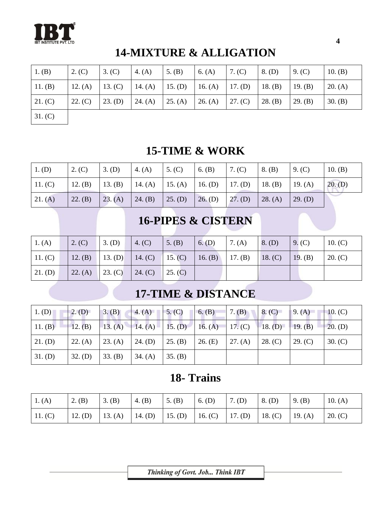

# **14-MIXTURE & ALLIGATION**

| 1. $(B)$  | 2. (C)  | 3. (C)  | 4. $(A)$  | 5. $(B)$  | 6. $(A)$  | 7. $(C)$ | $8.$ (D) | 9. (C)  | 10. $(B)$ |
|-----------|---------|---------|-----------|-----------|-----------|----------|----------|---------|-----------|
| $11.$ (B) | 12. (A) | 13. (C) | 14. $(A)$ | $15.$ (D) | 16. $(A)$ | 17. (D)  | 18. (B)  | 19. (B) | 20. (A)   |
| 21. (C)   | 22. (C) | 23. (D) | 24. $(A)$ | 25. (A)   | 26. (A)   | 27. (C)  | 28. (B)  | 29. (B) | 30. (B)   |
| 31. (C)   |         |         |           |           |           |          |          |         |           |

### **15-TIME & WORK**

| $\mid$ 1. (D) | 2. (C)  | 3. (D)  | 4. (A)          | $\vert$ 5. (C) | 6. $(B)$                                                  | 7. (C)    | $8.$ (B) | 9. (C)  | 10. $(B)$ |
|---------------|---------|---------|-----------------|----------------|-----------------------------------------------------------|-----------|----------|---------|-----------|
| 11. (C)       |         |         |                 |                | 12. (B)   13. (B)   14. (A)   15. (A)   16. (D)   17. (D) |           | 18. (B)  | 19. (A) | $20.$ (D) |
| 21. (A)       | 22. (B) | 23. (A) | 24. (B) 25. (D) |                | $26.$ (D)                                                 | $27.$ (D) | 28. (A)  | 29. (D) |           |

### **16-PIPES & CISTERN**

| 1. (A)  | 2. (C) | 3. (D)          | 4. $(C)$                                        | 5. (B)  | $6.$ (D) | 7. (A) | $8.$ (D) | $\vert 9. (C) \vert$ | 10. (C) |
|---------|--------|-----------------|-------------------------------------------------|---------|----------|--------|----------|----------------------|---------|
| 11.(C)  |        |                 | 12. (B) 13. (D) 14. (C) 15. (C) 16. (B) 17. (B) |         |          |        | 18. (C)  | 19. (B)              | 20. (C) |
| 21. (D) |        | 22. (A) 23. (C) | 24. (C)                                         | 25. (C) |          |        |          |                      |         |

# **17-TIME & DISTANCE**

| $1.$ (D)  | $2.$ (D)  | 3. (B)  | 4. (A)          | 5. (C)  | 6. (B)  | 7. (B)  | 8. (C)  | 9. (A)  | 10. $(C)$ |
|-----------|-----------|---------|-----------------|---------|---------|---------|---------|---------|-----------|
| 11. (B)   | 12. (B)   | 13. (A) | 14. (A) 15. (D) |         | 16. (A) | 17. (C) | 18. (D) | 19. (B) | $20.$ (D) |
| $21.$ (D) | 22. (A)   | 23. (A) | $24.$ (D)       | 25. (B) | 26. (E) | 27. (A) | 28. (C) | 29. (C) | 30. (C)   |
| $31.$ (D) | $32.$ (D) | 33. (B) | 34. (A)         | 35. (B) |         |         |         |         |           |

### **18- Trains**

| 1. (A)  | 2. (B) | 3. (B)                                                              | 4. (B) | $\vert 5.$ (B) | 6. (D) | $7.$ (D) | 8. (D) | (9. (B) | 10. $(A)$ |
|---------|--------|---------------------------------------------------------------------|--------|----------------|--------|----------|--------|---------|-----------|
| 11. (C) |        | 12. (D)   13. (A)   14. (D)   15. (D)   16. (C)   17. (D)   18. (C) |        |                |        |          |        | 19. (A) | 20. (C)   |